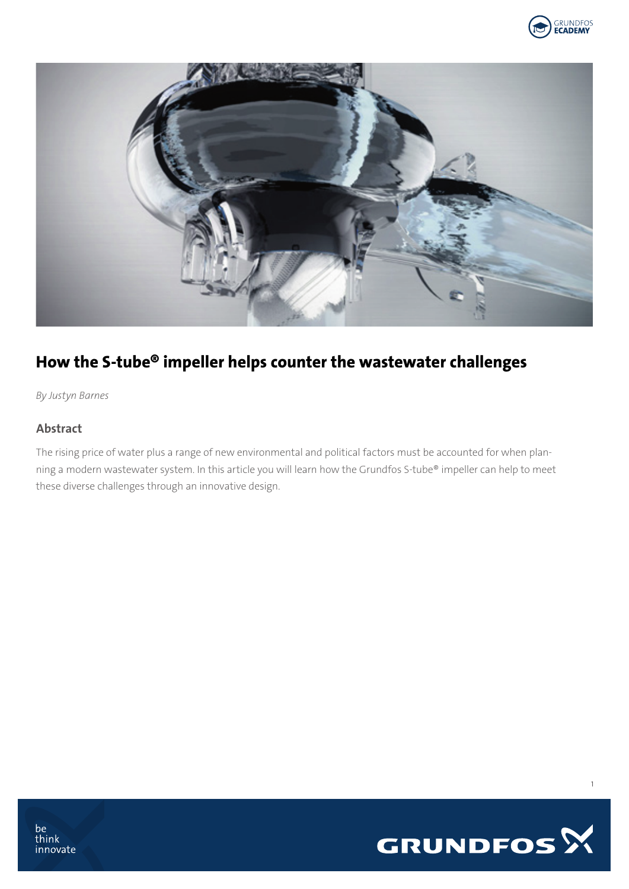



# How the S-tube® impeller helps counter the wastewater challenges

*By Justyn Barnes*

#### Abstract

The rising price of water plus a range of new environmental and political factors must be accounted for when planning a modern wastewater system. In this article you will learn how the Grundfos S-tube® impeller can help to meet these diverse challenges through an innovative design.



1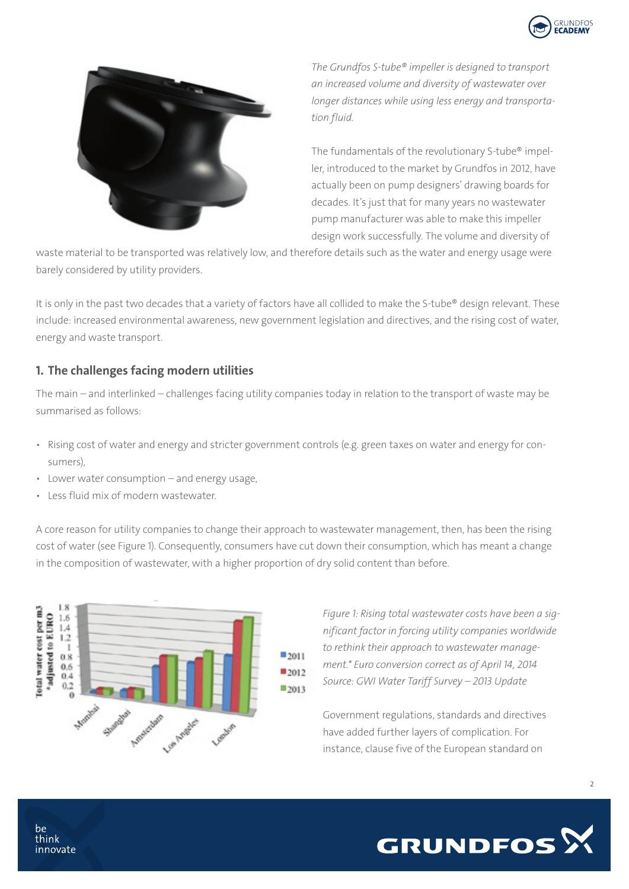



*The Grundfos S-tube® impeller is designed to transport an increased volume and diversity of wastewater over longer distances while using less energy and transportation fluid.*

The fundamentals of the revolutionary S-tube® impeller, introduced to the market by Grundfos in 2012, have actually been on pump designers' drawing boards for decades. It's just that for many years no wastewater pump manufacturer was able to make this impeller design work successfully. The volume and diversity of

waste material to be transported was relatively low, and therefore details such as the water and energy usage were barely considered by utility providers.

It is only in the past two decades that a variety of factors have all collided to make the S-tube® design relevant. These include: increased environmental awareness, new government legislation and directives, and the rising cost of water, energy and waste transport.

#### 1. The challenges facing modern utilities

The main – and interlinked – challenges facing utility companies today in relation to the transport of waste may be summarised as follows:

- Rising cost of water and energy and stricter government controls (e.g. green taxes on water and energy for consumers),
- Lower water consumption and energy usage,
- Less fluid mix of modern wastewater.

A core reason for utility companies to change their approach to wastewater management, then, has been the rising cost of water (see Figure 1). Consequently, consumers have cut down their consumption, which has meant a change in the composition of wastewater, with a higher proportion of dry solid content than before.



*Figure 1: Rising total wastewater costs have been a significant factor in forcing utility companies worldwide to rethink their approach to wastewater management.\* Euro conversion correct as of April 14, 2014 Source: GWI Water Tariff Survey – 2013 Update*

Government regulations, standards and directives have added further layers of complication. For instance, clause five of the European standard on



be think innovate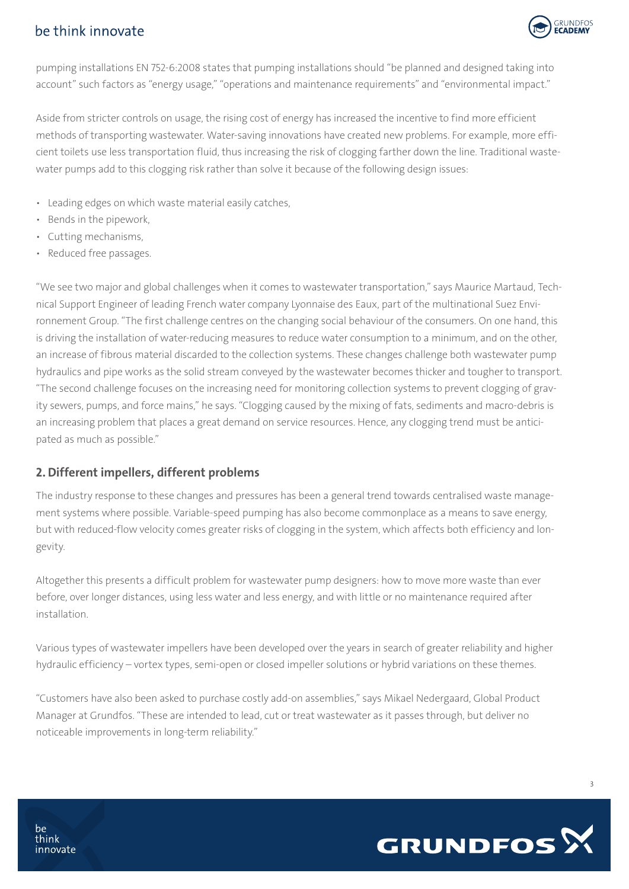## be think innovate



pumping installations EN 752-6:2008 states that pumping installations should "be planned and designed taking into account" such factors as "energy usage," "operations and maintenance requirements" and "environmental impact."

Aside from stricter controls on usage, the rising cost of energy has increased the incentive to find more efficient methods of transporting wastewater. Water-saving innovations have created new problems. For example, more efficient toilets use less transportation fluid, thus increasing the risk of clogging farther down the line. Traditional wastewater pumps add to this clogging risk rather than solve it because of the following design issues:

- Leading edges on which waste material easily catches,
- Bends in the pipework,
- Cutting mechanisms,
- Reduced free passages.

"We see two major and global challenges when it comes to wastewater transportation," says Maurice Martaud, Technical Support Engineer of leading French water company Lyonnaise des Eaux, part of the multinational Suez Environnement Group. "The first challenge centres on the changing social behaviour of the consumers. On one hand, this is driving the installation of water-reducing measures to reduce water consumption to a minimum, and on the other, an increase of fibrous material discarded to the collection systems. These changes challenge both wastewater pump hydraulics and pipe works as the solid stream conveyed by the wastewater becomes thicker and tougher to transport. "The second challenge focuses on the increasing need for monitoring collection systems to prevent clogging of gravity sewers, pumps, and force mains," he says. "Clogging caused by the mixing of fats, sediments and macro-debris is an increasing problem that places a great demand on service resources. Hence, any clogging trend must be anticipated as much as possible."

#### 2. Different impellers, different problems

The industry response to these changes and pressures has been a general trend towards centralised waste management systems where possible. Variable-speed pumping has also become commonplace as a means to save energy, but with reduced-flow velocity comes greater risks of clogging in the system, which affects both efficiency and longevity.

Altogether this presents a difficult problem for wastewater pump designers: how to move more waste than ever before, over longer distances, using less water and less energy, and with little or no maintenance required after installation.

Various types of wastewater impellers have been developed over the years in search of greater reliability and higher hydraulic efficiency – vortex types, semi-open or closed impeller solutions or hybrid variations on these themes.

"Customers have also been asked to purchase costly add-on assemblies," says Mikael Nedergaard, Global Product Manager at Grundfos. "These are intended to lead, cut or treat wastewater as it passes through, but deliver no noticeable improvements in long-term reliability."



3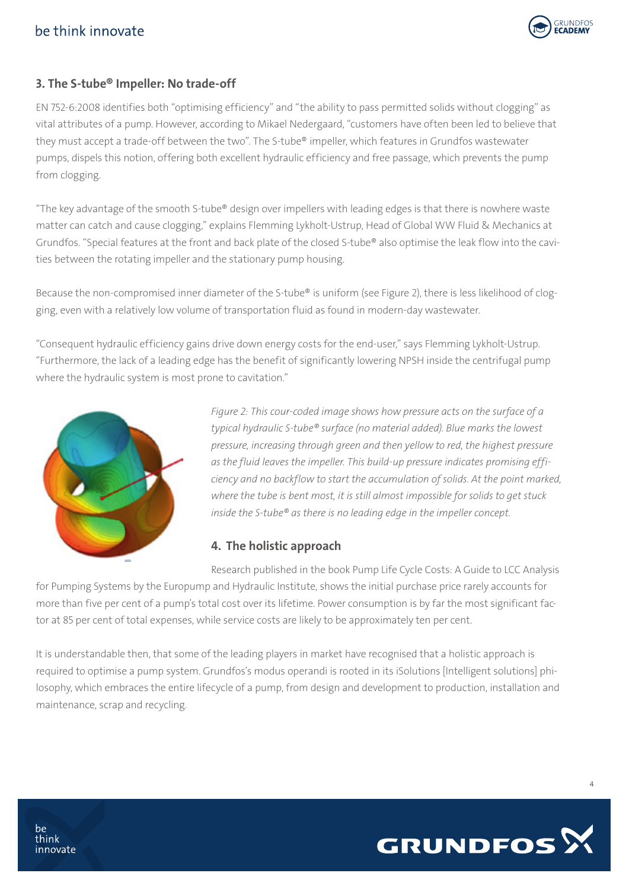## be think innovate



## 3. The S-tube® Impeller: No trade-off

EN 752-6:2008 identifies both "optimising efficiency" and "the ability to pass permitted solids without clogging" as vital attributes of a pump. However, according to Mikael Nedergaard, "customers have often been led to believe that they must accept a trade-off between the two". The S-tube® impeller, which features in Grundfos wastewater pumps, dispels this notion, offering both excellent hydraulic efficiency and free passage, which prevents the pump from clogging.

"The key advantage of the smooth S-tube® design over impellers with leading edges is that there is nowhere waste matter can catch and cause clogging," explains Flemming Lykholt-Ustrup, Head of Global WW Fluid & Mechanics at Grundfos. "Special features at the front and back plate of the closed S-tube® also optimise the leak flow into the cavities between the rotating impeller and the stationary pump housing.

Because the non-compromised inner diameter of the S-tube® is uniform (see Figure 2), there is less likelihood of clogging, even with a relatively low volume of transportation fluid as found in modern-day wastewater.

"Consequent hydraulic efficiency gains drive down energy costs for the end-user," says Flemming Lykholt-Ustrup. "Furthermore, the lack of a leading edge has the benefit of significantly lowering NPSH inside the centrifugal pump where the hydraulic system is most prone to cavitation."



*Figure 2: This cour-coded image shows how pressure acts on the surface of a typical hydraulic S-tube® surface (no material added). Blue marks the lowest pressure, increasing through green and then yellow to red, the highest pressure as the fluid leaves the impeller. This build-up pressure indicates promising efficiency and no backflow to start the accumulation of solids. At the point marked, where the tube is bent most, it is still almost impossible for solids to get stuck inside the S-tube® as there is no leading edge in the impeller concept.*

## 4. The holistic approach

Research published in the book Pump Life Cycle Costs: A Guide to LCC Analysis for Pumping Systems by the Europump and Hydraulic Institute, shows the initial purchase price rarely accounts for more than five per cent of a pump's total cost over its lifetime. Power consumption is by far the most significant factor at 85 per cent of total expenses, while service costs are likely to be approximately ten per cent.

It is understandable then, that some of the leading players in market have recognised that a holistic approach is required to optimise a pump system. Grundfos's modus operandi is rooted in its iSolutions [Intelligent solutions] philosophy, which embraces the entire lifecycle of a pump, from design and development to production, installation and maintenance, scrap and recycling.



4